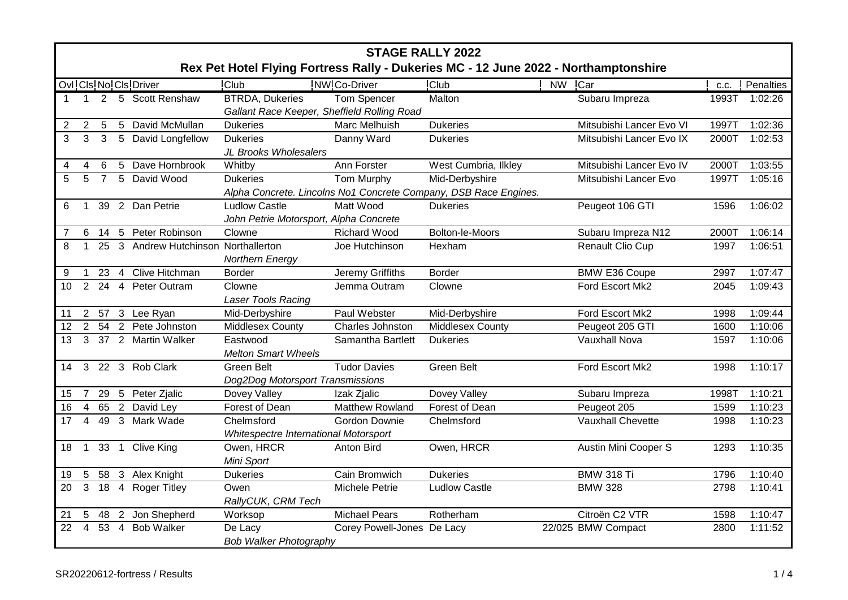|                | <b>STAGE RALLY 2022</b>                                                                                                      |                 |              |                                   |                                                                       |                            |                                                                  |                          |       |           |
|----------------|------------------------------------------------------------------------------------------------------------------------------|-----------------|--------------|-----------------------------------|-----------------------------------------------------------------------|----------------------------|------------------------------------------------------------------|--------------------------|-------|-----------|
|                | Rex Pet Hotel Flying Fortress Rally - Dukeries MC - 12 June 2022 - Northamptonshire<br>NW Co-Driver<br>Ovi Cis No Cis Driver |                 |              |                                   |                                                                       |                            |                                                                  |                          |       |           |
|                |                                                                                                                              |                 |              |                                   | <b>Club</b>                                                           |                            | <b>Club</b>                                                      | NW Car                   | C.C.  | Penalties |
| $\overline{1}$ | $\overline{1}$                                                                                                               |                 |              | 2 5 Scott Renshaw                 | <b>BTRDA, Dukeries</b><br>Gallant Race Keeper, Sheffield Rolling Road | <b>Tom Spencer</b>         | Malton                                                           | Subaru Impreza           | 1993T | 1:02:26   |
| 2              | $\overline{2}$                                                                                                               | $5\phantom{.0}$ |              | 5 David McMullan                  | <b>Dukeries</b>                                                       | Marc Melhuish              | <b>Dukeries</b>                                                  | Mitsubishi Lancer Evo VI | 1997T | 1:02:36   |
| 3              | 3                                                                                                                            | $\mathbf{3}$    |              | 5 David Longfellow                | <b>Dukeries</b>                                                       | Danny Ward                 | <b>Dukeries</b>                                                  | Mitsubishi Lancer Evo IX | 2000T | 1:02:53   |
|                |                                                                                                                              |                 |              |                                   | JL Brooks Wholesalers                                                 |                            |                                                                  |                          |       |           |
| 4              | 4                                                                                                                            | 6               | 5            | Dave Hornbrook                    | Whitby                                                                | Ann Forster                | West Cumbria, Ilkley                                             | Mitsubishi Lancer Evo IV | 2000T | 1:03:55   |
| 5              | 5                                                                                                                            | $\overline{7}$  |              | 5 David Wood                      | <b>Dukeries</b>                                                       | Tom Murphy                 | Mid-Derbyshire                                                   | Mitsubishi Lancer Evo    | 1997T | 1:05:16   |
|                |                                                                                                                              |                 |              |                                   |                                                                       |                            | Alpha Concrete. Lincolns No1 Concrete Company, DSB Race Engines. |                          |       |           |
| 6              | 1                                                                                                                            |                 |              | 39 2 Dan Petrie                   | <b>Ludlow Castle</b>                                                  | Matt Wood                  | <b>Dukeries</b>                                                  | Peugeot 106 GTI          | 1596  | 1:06:02   |
|                |                                                                                                                              |                 |              |                                   | John Petrie Motorsport, Alpha Concrete                                |                            |                                                                  |                          |       |           |
| 7              | 6                                                                                                                            |                 |              | 14 5 Peter Robinson               | Clowne                                                                | <b>Richard Wood</b>        | Bolton-le-Moors                                                  | Subaru Impreza N12       | 2000T | 1:06:14   |
| 8              |                                                                                                                              | 25              |              | 3 Andrew Hutchinson Northallerton |                                                                       | Joe Hutchinson             | Hexham                                                           | Renault Clio Cup         | 1997  | 1:06:51   |
|                |                                                                                                                              |                 |              |                                   | <b>Northern Energy</b>                                                |                            |                                                                  |                          |       |           |
| 9              | $\mathbf{1}$                                                                                                                 |                 |              | 23 4 Clive Hitchman               | <b>Border</b>                                                         | <b>Jeremy Griffiths</b>    | <b>Border</b>                                                    | <b>BMW E36 Coupe</b>     | 2997  | 1:07:47   |
| 10             |                                                                                                                              |                 |              | 2 24 4 Peter Outram               | Clowne                                                                | Jemma Outram               | Clowne                                                           | Ford Escort Mk2          | 2045  | 1:09:43   |
|                |                                                                                                                              |                 |              |                                   | Laser Tools Racing                                                    |                            |                                                                  |                          |       |           |
| 11             |                                                                                                                              |                 |              | 2 57 3 Lee Ryan                   | Mid-Derbyshire                                                        | Paul Webster               | Mid-Derbyshire                                                   | Ford Escort Mk2          | 1998  | 1:09:44   |
| 12             |                                                                                                                              |                 |              | 2 54 2 Pete Johnston              | <b>Middlesex County</b>                                               | Charles Johnston           | <b>Middlesex County</b>                                          | Peugeot 205 GTI          | 1600  | 1:10:06   |
| 13             | 3                                                                                                                            |                 |              | 37 2 Martin Walker                | Eastwood                                                              | Samantha Bartlett          | <b>Dukeries</b>                                                  | Vauxhall Nova            | 1597  | 1:10:06   |
|                |                                                                                                                              |                 |              |                                   | <b>Melton Smart Wheels</b>                                            |                            |                                                                  |                          |       |           |
| 14             |                                                                                                                              |                 |              | 3 22 3 Rob Clark                  | Green Belt                                                            | <b>Tudor Davies</b>        | Green Belt                                                       | Ford Escort Mk2          | 1998  | 1:10:17   |
|                |                                                                                                                              |                 |              |                                   | Dog2Dog Motorsport Transmissions                                      |                            |                                                                  |                          |       |           |
| 15             | $\overline{7}$                                                                                                               |                 |              | 29 5 Peter Zjalic                 | Dovey Valley                                                          | Izak Zjalic                | Dovey Valley                                                     | Subaru Impreza           | 1998T | 1:10:21   |
| 16             | $\overline{4}$                                                                                                               |                 |              | 65 2 David Ley                    | Forest of Dean                                                        | Matthew Rowland            | Forest of Dean                                                   | Peugeot 205              | 1599  | 1:10:23   |
| 17             | 4                                                                                                                            | 49              | $\mathbf{3}$ | Mark Wade                         | Chelmsford                                                            | Gordon Downie              | Chelmsford                                                       | Vauxhall Chevette        | 1998  | 1:10:23   |
|                |                                                                                                                              |                 |              |                                   | Whitespectre International Motorsport                                 |                            |                                                                  |                          |       |           |
| 18             | $\mathbf{1}$                                                                                                                 | 33 1            |              | <b>Clive King</b>                 | Owen, HRCR                                                            | Anton Bird                 | Owen, HRCR                                                       | Austin Mini Cooper S     | 1293  | 1:10:35   |
|                |                                                                                                                              |                 |              |                                   | Mini Sport                                                            |                            |                                                                  |                          |       |           |
| 19             | 5                                                                                                                            |                 |              | 58 3 Alex Knight                  | <b>Dukeries</b>                                                       | Cain Bromwich              | <b>Dukeries</b>                                                  | <b>BMW 318 Ti</b>        | 1796  | 1:10:40   |
| 20             | 3                                                                                                                            | 18 4            |              | <b>Roger Titley</b>               | Owen                                                                  | Michele Petrie             | <b>Ludlow Castle</b>                                             | <b>BMW 328</b>           | 2798  | 1:10:41   |
|                |                                                                                                                              |                 |              |                                   | RallyCUK, CRM Tech                                                    |                            |                                                                  |                          |       |           |
| 21             | 5                                                                                                                            |                 |              | 48 2 Jon Shepherd                 | Worksop                                                               | <b>Michael Pears</b>       | Rotherham                                                        | Citroën C2 VTR           | 1598  | 1:10:47   |
| 22             | $\overline{4}$                                                                                                               | 53 4            |              | <b>Bob Walker</b>                 | De Lacy                                                               | Corey Powell-Jones De Lacy |                                                                  | 22/025 BMW Compact       | 2800  | 1:11:52   |
|                |                                                                                                                              |                 |              |                                   | <b>Bob Walker Photography</b>                                         |                            |                                                                  |                          |       |           |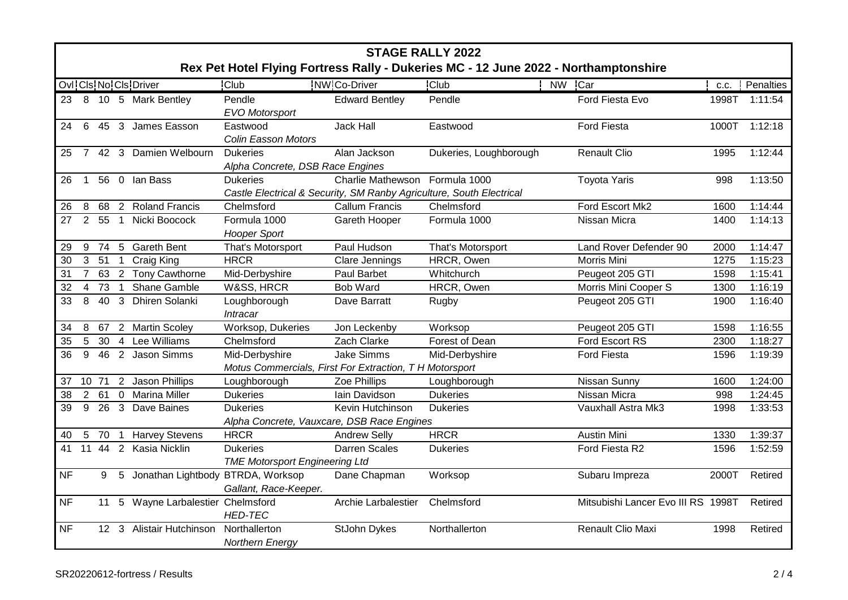|           | <b>STAGE RALLY 2022</b><br>Rex Pet Hotel Flying Fortress Rally - Dukeries MC - 12 June 2022 - Northamptonshire |       |                 |                                     |                                                                                         |                          |                        |                                    |       |               |  |
|-----------|----------------------------------------------------------------------------------------------------------------|-------|-----------------|-------------------------------------|-----------------------------------------------------------------------------------------|--------------------------|------------------------|------------------------------------|-------|---------------|--|
|           |                                                                                                                |       |                 | Ovl: Cls: No: Cls: Driver           | <b>Club</b>                                                                             | NW Co-Driver             | <b>Club</b>            | NW Car                             | C.C.  | Penalties     |  |
| 23        |                                                                                                                |       |                 | 8 10 5 Mark Bentley                 | Pendle<br><b>EVO Motorsport</b>                                                         | <b>Edward Bentley</b>    | Pendle                 | Ford Fiesta Evo                    | 1998T | 1:11:54       |  |
| 24        | $6\phantom{1}$                                                                                                 |       |                 | 45 3 James Easson                   | Eastwood<br><b>Colin Easson Motors</b>                                                  | <b>Jack Hall</b>         | Eastwood               | <b>Ford Fiesta</b>                 |       | 1000T 1:12:18 |  |
| 25        |                                                                                                                |       |                 | 7 42 3 Damien Welbourn              | <b>Dukeries</b><br>Alpha Concrete, DSB Race Engines                                     | Alan Jackson             | Dukeries, Loughborough | <b>Renault Clio</b>                | 1995  | 1:12:44       |  |
| 26        | $\mathbf{1}$                                                                                                   |       |                 | 56 0 Ian Bass                       | <b>Dukeries</b><br>Castle Electrical & Security, SM Ranby Agriculture, South Electrical | <b>Charlie Mathewson</b> | Formula 1000           | <b>Toyota Yaris</b>                | 998   | 1:13:50       |  |
| 26        | 8                                                                                                              |       |                 | 68 2 Roland Francis                 | Chelmsford                                                                              | <b>Callum Francis</b>    | Chelmsford             | Ford Escort Mk2                    | 1600  | 1:14:44       |  |
| 27        | $\overline{2}$                                                                                                 |       |                 | 55 1 Nicki Boocock                  | Formula 1000<br><b>Hooper Sport</b>                                                     | Gareth Hooper            | Formula 1000           | Nissan Micra                       | 1400  | 1:14:13       |  |
| 29        | 9                                                                                                              | 74    | $5\overline{5}$ | <b>Gareth Bent</b>                  | That's Motorsport                                                                       | Paul Hudson              | That's Motorsport      | Land Rover Defender 90             | 2000  | 1:14:47       |  |
| 30        | $\mathbf{3}$                                                                                                   | 51    | $\overline{1}$  | <b>Craig King</b>                   | <b>HRCR</b>                                                                             | Clare Jennings           | HRCR, Owen             | Morris Mini                        | 1275  | 1:15:23       |  |
| 31        | $\overline{7}$                                                                                                 |       |                 | 63 2 Tony Cawthorne                 | Mid-Derbyshire                                                                          | Paul Barbet              | Whitchurch             | Peugeot 205 GTI                    | 1598  | 1:15:41       |  |
| 32        | $\overline{4}$                                                                                                 | 73    | $\overline{1}$  | Shane Gamble                        | W&SS, HRCR                                                                              | <b>Bob Ward</b>          | HRCR, Owen             | Morris Mini Cooper S               | 1300  | 1:16:19       |  |
| 33        | 8                                                                                                              | 40    |                 | 3 Dhiren Solanki                    | Loughborough<br>Intracar                                                                | Dave Barratt             | Rugby                  | Peugeot 205 GTI                    | 1900  | 1:16:40       |  |
| 34        | 8                                                                                                              |       |                 | 67 2 Martin Scoley                  | Worksop, Dukeries                                                                       | Jon Leckenby             | Worksop                | Peugeot 205 GTI                    | 1598  | 1:16:55       |  |
| 35        | 5                                                                                                              | 30    | $\overline{4}$  | Lee Williams                        | Chelmsford                                                                              | Zach Clarke              | Forest of Dean         | Ford Escort RS                     | 2300  | 1:18:27       |  |
| 36        | 9                                                                                                              | 46    |                 | 2 Jason Simms                       | Mid-Derbyshire<br>Motus Commercials, First For Extraction, T H Motorsport               | Jake Simms               | Mid-Derbyshire         | Ford Fiesta                        | 1596  | 1:19:39       |  |
| 37        |                                                                                                                | 10 71 |                 | 2 Jason Phillips                    | Loughborough                                                                            | Zoe Phillips             | Loughborough           | Nissan Sunny                       | 1600  | 1:24:00       |  |
| 38        | $\overline{2}$                                                                                                 | 61    |                 | 0 Marina Miller                     | <b>Dukeries</b>                                                                         | Iain Davidson            | <b>Dukeries</b>        | Nissan Micra                       | 998   | 1:24:45       |  |
| 39        | 9                                                                                                              | 26    |                 | 3 Dave Baines                       | <b>Dukeries</b><br>Alpha Concrete, Vauxcare, DSB Race Engines                           | Kevin Hutchinson         | <b>Dukeries</b>        | Vauxhall Astra Mk3                 | 1998  | 1:33:53       |  |
| 40        | $5\phantom{.0}$                                                                                                | 70    | $\overline{1}$  | <b>Harvey Stevens</b>               | <b>HRCR</b>                                                                             | <b>Andrew Selly</b>      | <b>HRCR</b>            | <b>Austin Mini</b>                 | 1330  | 1:39:37       |  |
| 41        |                                                                                                                | 11 44 |                 | 2 Kasia Nicklin                     | <b>Dukeries</b><br><b>TME Motorsport Engineering Ltd</b>                                | <b>Darren Scales</b>     | <b>Dukeries</b>        | Ford Fiesta R2                     | 1596  | 1:52:59       |  |
| <b>NF</b> |                                                                                                                | 9     |                 | 5 Jonathan Lightbody BTRDA, Worksop | Gallant, Race-Keeper.                                                                   | Dane Chapman             | Worksop                | Subaru Impreza                     | 2000T | Retired       |  |
| <b>NF</b> |                                                                                                                | 11    |                 | 5 Wayne Larbalestier Chelmsford     | <b>HED-TEC</b>                                                                          | Archie Larbalestier      | Chelmsford             | Mitsubishi Lancer Evo III RS 1998T |       | Retired       |  |
| <b>NF</b> |                                                                                                                |       |                 | 12 3 Alistair Hutchinson            | Northallerton<br><b>Northern Energy</b>                                                 | <b>StJohn Dykes</b>      | Northallerton          | Renault Clio Maxi                  | 1998  | Retired       |  |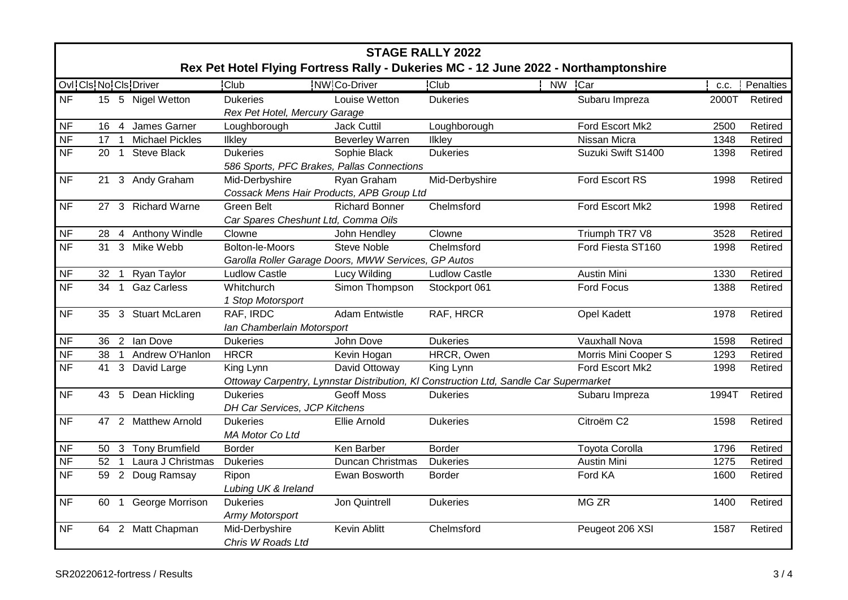|                |      |                |                           |                                                     |                         | <b>STAGE RALLY 2022</b>                                                               | Rex Pet Hotel Flying Fortress Rally - Dukeries MC - 12 June 2022 - Northamptonshire |       |           |  |
|----------------|------|----------------|---------------------------|-----------------------------------------------------|-------------------------|---------------------------------------------------------------------------------------|-------------------------------------------------------------------------------------|-------|-----------|--|
|                |      |                | Ovl: Cls: No: Cls: Driver | <b>Club</b>                                         | <b>NW Co-Driver</b>     | <b>Club</b>                                                                           | <b>NW</b><br>Car                                                                    | C.C.  | Penalties |  |
| <b>NF</b>      |      |                | 15 5 Nigel Wetton         | <b>Dukeries</b>                                     | Louise Wetton           | <b>Dukeries</b>                                                                       | Subaru Impreza                                                                      | 2000T | Retired   |  |
|                |      |                |                           | Rex Pet Hotel, Mercury Garage                       |                         |                                                                                       |                                                                                     |       |           |  |
| <b>NF</b>      | 16   | -4             | James Garner              | Loughborough                                        | <b>Jack Cuttil</b>      | Loughborough                                                                          | Ford Escort Mk2                                                                     | 2500  | Retired   |  |
| <b>NF</b>      | 17   | $\mathbf{1}$   | <b>Michael Pickles</b>    | Ilkley                                              | <b>Beverley Warren</b>  | Ilkley                                                                                | Nissan Micra                                                                        | 1348  | Retired   |  |
| N <sub>F</sub> | 20   | $\overline{1}$ | <b>Steve Black</b>        | <b>Dukeries</b>                                     | Sophie Black            | <b>Dukeries</b>                                                                       | Suzuki Swift S1400                                                                  | 1398  | Retired   |  |
|                |      |                |                           | 586 Sports, PFC Brakes, Pallas Connections          |                         |                                                                                       |                                                                                     |       |           |  |
| <b>NF</b>      |      |                | 21 3 Andy Graham          | Mid-Derbyshire                                      | Ryan Graham             | Mid-Derbyshire                                                                        | Ford Escort RS                                                                      | 1998  | Retired   |  |
|                |      |                |                           | Cossack Mens Hair Products, APB Group Ltd           |                         |                                                                                       |                                                                                     |       |           |  |
| <b>NF</b>      |      |                | 27 3 Richard Warne        | Green Belt                                          | <b>Richard Bonner</b>   | Chelmsford                                                                            | Ford Escort Mk2                                                                     | 1998  | Retired   |  |
|                |      |                |                           | Car Spares Cheshunt Ltd, Comma Oils                 |                         |                                                                                       |                                                                                     |       |           |  |
| <b>NF</b>      | 28 4 |                | <b>Anthony Windle</b>     | Clowne                                              | John Hendley            | Clowne                                                                                | Triumph TR7 V8                                                                      | 3528  | Retired   |  |
| <b>NF</b>      |      |                | 31 3 Mike Webb            | Bolton-le-Moors                                     | <b>Steve Noble</b>      | Chelmsford                                                                            | Ford Fiesta ST160                                                                   | 1998  | Retired   |  |
|                |      |                |                           | Garolla Roller Garage Doors, MWW Services, GP Autos |                         |                                                                                       |                                                                                     |       |           |  |
| <b>NF</b>      | 32 1 |                | Ryan Taylor               | <b>Ludlow Castle</b>                                | Lucy Wilding            | <b>Ludlow Castle</b>                                                                  | <b>Austin Mini</b>                                                                  | 1330  | Retired   |  |
| <b>NF</b>      | 34   | $\overline{1}$ | <b>Gaz Carless</b>        | Whitchurch                                          | Simon Thompson          | Stockport 061                                                                         | Ford Focus                                                                          | 1388  | Retired   |  |
|                |      |                |                           | 1 Stop Motorsport                                   |                         |                                                                                       |                                                                                     |       |           |  |
| <b>NF</b>      |      |                | 35 3 Stuart McLaren       | RAF, IRDC                                           | <b>Adam Entwistle</b>   | RAF, HRCR                                                                             | <b>Opel Kadett</b>                                                                  | 1978  | Retired   |  |
|                |      |                |                           | Ian Chamberlain Motorsport                          |                         |                                                                                       |                                                                                     |       |           |  |
| <b>NF</b>      |      |                | 36 2 Ian Dove             | <b>Dukeries</b>                                     | John Dove               | <b>Dukeries</b>                                                                       | Vauxhall Nova                                                                       | 1598  | Retired   |  |
| <b>NF</b>      | 38   | $\overline{1}$ | Andrew O'Hanlon           | <b>HRCR</b>                                         | Kevin Hogan             | HRCR, Owen                                                                            | Morris Mini Cooper S                                                                | 1293  | Retired   |  |
| N <sub>F</sub> |      |                | 41 3 David Large          | King Lynn                                           | David Ottoway           | King Lynn                                                                             | Ford Escort Mk2                                                                     | 1998  | Retired   |  |
|                |      |                |                           |                                                     |                         | Ottoway Carpentry, Lynnstar Distribution, KI Construction Ltd, Sandle Car Supermarket |                                                                                     |       |           |  |
| <b>NF</b>      |      |                | 43 5 Dean Hickling        | <b>Dukeries</b>                                     | <b>Geoff Moss</b>       | <b>Dukeries</b>                                                                       | Subaru Impreza                                                                      | 1994T | Retired   |  |
|                |      |                |                           | DH Car Services, JCP Kitchens                       |                         |                                                                                       |                                                                                     |       |           |  |
| <b>NF</b>      |      |                | 47 2 Matthew Arnold       | <b>Dukeries</b>                                     | Ellie Arnold            | <b>Dukeries</b>                                                                       | Citroëm C <sub>2</sub>                                                              | 1598  | Retired   |  |
|                |      |                |                           | MA Motor Co Ltd                                     |                         |                                                                                       |                                                                                     |       |           |  |
| <b>NF</b>      |      |                | 50 3 Tony Brumfield       | <b>Border</b>                                       | Ken Barber              | <b>Border</b>                                                                         | <b>Toyota Corolla</b>                                                               | 1796  | Retired   |  |
| N <sub>F</sub> | 52   | $\mathbf{1}$   | Laura J Christmas         | <b>Dukeries</b>                                     | <b>Duncan Christmas</b> | <b>Dukeries</b>                                                                       | <b>Austin Mini</b>                                                                  | 1275  | Retired   |  |
| <b>NF</b>      |      |                | 59 2 Doug Ramsay          | Ripon                                               | Ewan Bosworth           | Border                                                                                | Ford KA                                                                             | 1600  | Retired   |  |
|                |      |                |                           | Lubing UK & Ireland                                 |                         |                                                                                       |                                                                                     |       |           |  |
| <b>NF</b>      | 60   | $\mathbf{1}$   | George Morrison           | <b>Dukeries</b>                                     | Jon Quintrell           | <b>Dukeries</b>                                                                       | MG ZR                                                                               | 1400  | Retired   |  |
|                |      |                |                           | Army Motorsport                                     |                         |                                                                                       |                                                                                     |       |           |  |
| <b>NF</b>      |      |                | 64 2 Matt Chapman         | Mid-Derbyshire                                      | Kevin Ablitt            | Chelmsford                                                                            | Peugeot 206 XSI                                                                     | 1587  | Retired   |  |
|                |      |                |                           | Chris W Roads Ltd                                   |                         |                                                                                       |                                                                                     |       |           |  |